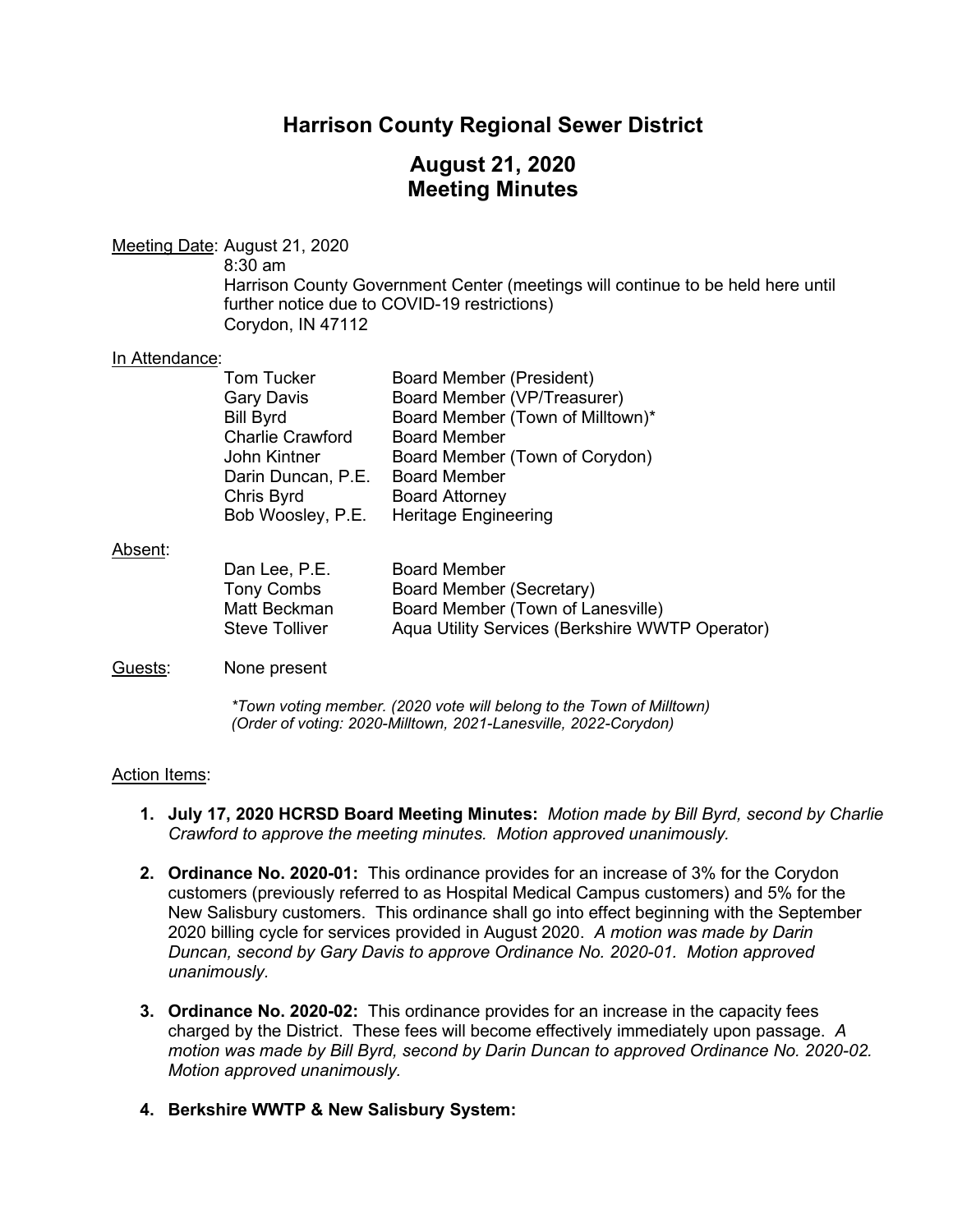# **Harrison County Regional Sewer District**

# **August 21, 2020 Meeting Minutes**

### Meeting Date: August 21, 2020

8:30 am

Harrison County Government Center (meetings will continue to be held here until further notice due to COVID-19 restrictions) Corydon, IN 47112

#### In Attendance:

| Tom Tucker              | Board Member (President)         |
|-------------------------|----------------------------------|
| <b>Gary Davis</b>       | Board Member (VP/Treasurer)      |
| <b>Bill Byrd</b>        | Board Member (Town of Milltown)* |
| <b>Charlie Crawford</b> | <b>Board Member</b>              |
| John Kintner            | Board Member (Town of Corydon)   |
| Darin Duncan, P.E.      | <b>Board Member</b>              |
| Chris Byrd              | <b>Board Attorney</b>            |
| Bob Woosley, P.E.       | <b>Heritage Engineering</b>      |

#### Absent:

| Dan Lee, P.E.         | <b>Board Member</b>                             |
|-----------------------|-------------------------------------------------|
| Tony Combs            | Board Member (Secretary)                        |
| Matt Beckman          | Board Member (Town of Lanesville)               |
| <b>Steve Tolliver</b> | Aqua Utility Services (Berkshire WWTP Operator) |

### Guests: None present

*\*Town voting member. (2020 vote will belong to the Town of Milltown) (Order of voting: 2020-Milltown, 2021-Lanesville, 2022-Corydon)* 

### Action Items:

- **1. July 17, 2020 HCRSD Board Meeting Minutes:** *Motion made by Bill Byrd, second by Charlie Crawford to approve the meeting minutes. Motion approved unanimously.*
- **2. Ordinance No. 2020-01:** This ordinance provides for an increase of 3% for the Corydon customers (previously referred to as Hospital Medical Campus customers) and 5% for the New Salisbury customers. This ordinance shall go into effect beginning with the September 2020 billing cycle for services provided in August 2020. *A motion was made by Darin Duncan, second by Gary Davis to approve Ordinance No. 2020-01. Motion approved unanimously.*
- **3. Ordinance No. 2020-02:** This ordinance provides for an increase in the capacity fees charged by the District. These fees will become effectively immediately upon passage. *A motion was made by Bill Byrd, second by Darin Duncan to approved Ordinance No. 2020-02. Motion approved unanimously.*
- **4. Berkshire WWTP & New Salisbury System:**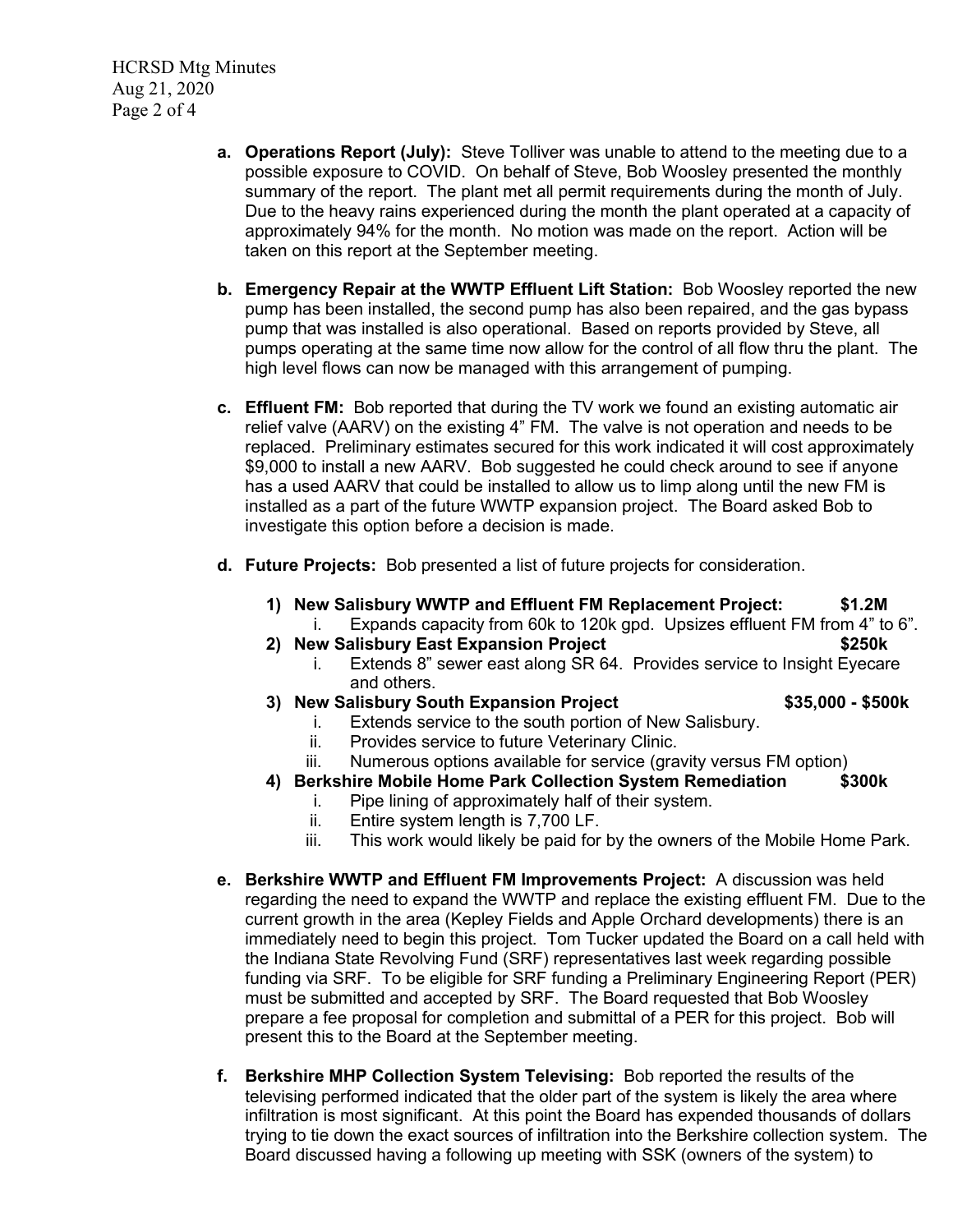HCRSD Mtg Minutes Aug 21, 2020 Page 2 of 4

- **a. Operations Report (July):** Steve Tolliver was unable to attend to the meeting due to a possible exposure to COVID. On behalf of Steve, Bob Woosley presented the monthly summary of the report. The plant met all permit requirements during the month of July. Due to the heavy rains experienced during the month the plant operated at a capacity of approximately 94% for the month. No motion was made on the report. Action will be taken on this report at the September meeting.
- **b. Emergency Repair at the WWTP Effluent Lift Station:** Bob Woosley reported the new pump has been installed, the second pump has also been repaired, and the gas bypass pump that was installed is also operational. Based on reports provided by Steve, all pumps operating at the same time now allow for the control of all flow thru the plant. The high level flows can now be managed with this arrangement of pumping.
- **c. Effluent FM:** Bob reported that during the TV work we found an existing automatic air relief valve (AARV) on the existing 4" FM. The valve is not operation and needs to be replaced. Preliminary estimates secured for this work indicated it will cost approximately \$9,000 to install a new AARV. Bob suggested he could check around to see if anyone has a used AARV that could be installed to allow us to limp along until the new FM is installed as a part of the future WWTP expansion project. The Board asked Bob to investigate this option before a decision is made.
- **d. Future Projects:** Bob presented a list of future projects for consideration.
	- **1) New Salisbury WWTP and Effluent FM Replacement Project: \$1.2M**
		- i. Expands capacity from 60k to 120k gpd. Upsizes effluent FM from 4" to 6".
	- **2) New Salisbury East Expansion Project \$250k**
		- i. Extends 8" sewer east along SR 64. Provides service to Insight Eyecare and others.
	- **3) New Salisbury South Expansion Project \$35,000 - \$500k**

- i. Extends service to the south portion of New Salisbury.
- ii. Provides service to future Veterinary Clinic.
- iii. Numerous options available for service (gravity versus FM option)
- **4) Berkshire Mobile Home Park Collection System Remediation \$300k**
	- i. Pipe lining of approximately half of their system.<br>ii. Entire system length is 7,700 LF.
	- Entire system length is 7,700 LF.
	- iii. This work would likely be paid for by the owners of the Mobile Home Park.
- **e. Berkshire WWTP and Effluent FM Improvements Project:** A discussion was held regarding the need to expand the WWTP and replace the existing effluent FM. Due to the current growth in the area (Kepley Fields and Apple Orchard developments) there is an immediately need to begin this project. Tom Tucker updated the Board on a call held with the Indiana State Revolving Fund (SRF) representatives last week regarding possible funding via SRF. To be eligible for SRF funding a Preliminary Engineering Report (PER) must be submitted and accepted by SRF. The Board requested that Bob Woosley prepare a fee proposal for completion and submittal of a PER for this project. Bob will present this to the Board at the September meeting.
- **f. Berkshire MHP Collection System Televising:** Bob reported the results of the televising performed indicated that the older part of the system is likely the area where infiltration is most significant. At this point the Board has expended thousands of dollars trying to tie down the exact sources of infiltration into the Berkshire collection system. The Board discussed having a following up meeting with SSK (owners of the system) to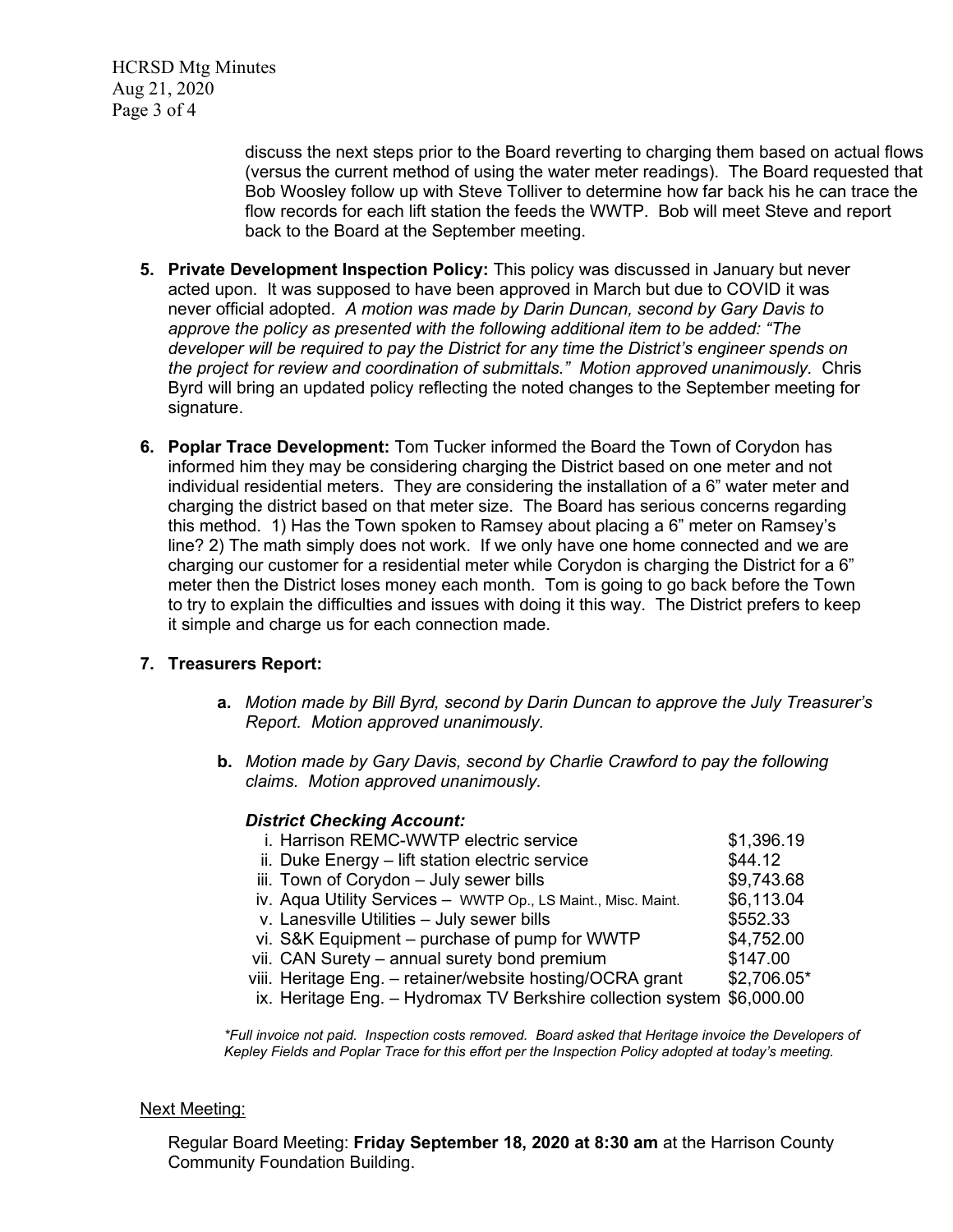HCRSD Mtg Minutes Aug 21, 2020 Page 3 of 4

> discuss the next steps prior to the Board reverting to charging them based on actual flows (versus the current method of using the water meter readings). The Board requested that Bob Woosley follow up with Steve Tolliver to determine how far back his he can trace the flow records for each lift station the feeds the WWTP. Bob will meet Steve and report back to the Board at the September meeting.

- **5. Private Development Inspection Policy:** This policy was discussed in January but never acted upon. It was supposed to have been approved in March but due to COVID it was never official adopted. *A motion was made by Darin Duncan, second by Gary Davis to approve the policy as presented with the following additional item to be added: "The developer will be required to pay the District for any time the District's engineer spends on the project for review and coordination of submittals." Motion approved unanimously.* Chris Byrd will bring an updated policy reflecting the noted changes to the September meeting for signature.
- **6. Poplar Trace Development:** Tom Tucker informed the Board the Town of Corydon has informed him they may be considering charging the District based on one meter and not individual residential meters. They are considering the installation of a 6" water meter and charging the district based on that meter size. The Board has serious concerns regarding this method. 1) Has the Town spoken to Ramsey about placing a 6" meter on Ramsey's line? 2) The math simply does not work. If we only have one home connected and we are charging our customer for a residential meter while Corydon is charging the District for a 6" meter then the District loses money each month. Tom is going to go back before the Town to try to explain the difficulties and issues with doing it this way. The District prefers to keep it simple and charge us for each connection made.

### **7. Treasurers Report:**

- **a.** *Motion made by Bill Byrd, second by Darin Duncan to approve the July Treasurer's Report. Motion approved unanimously.*
- **b.** *Motion made by Gary Davis, second by Charlie Crawford to pay the following claims. Motion approved unanimously.*

#### *District Checking Account:*

| i. Harrison REMC-WWTP electric service                                 | \$1,396.19  |
|------------------------------------------------------------------------|-------------|
| ii. Duke Energy - lift station electric service                        | \$44.12     |
| iii. Town of Corydon - July sewer bills                                | \$9,743.68  |
| iv. Aqua Utility Services - WWTP Op., LS Maint., Misc. Maint.          | \$6,113.04  |
| v. Lanesville Utilities - July sewer bills                             | \$552.33    |
| vi. S&K Equipment - purchase of pump for WWTP                          | \$4,752.00  |
| vii. CAN Surety - annual surety bond premium                           | \$147.00    |
| viii. Heritage Eng. - retainer/website hosting/OCRA grant              | \$2,706.05* |
| ix. Heritage Eng. - Hydromax TV Berkshire collection system \$6,000.00 |             |
|                                                                        |             |

*\*Full invoice not paid. Inspection costs removed. Board asked that Heritage invoice the Developers of Kepley Fields and Poplar Trace for this effort per the Inspection Policy adopted at today's meeting.*

#### Next Meeting:

Regular Board Meeting: **Friday September 18, 2020 at 8:30 am** at the Harrison County Community Foundation Building.